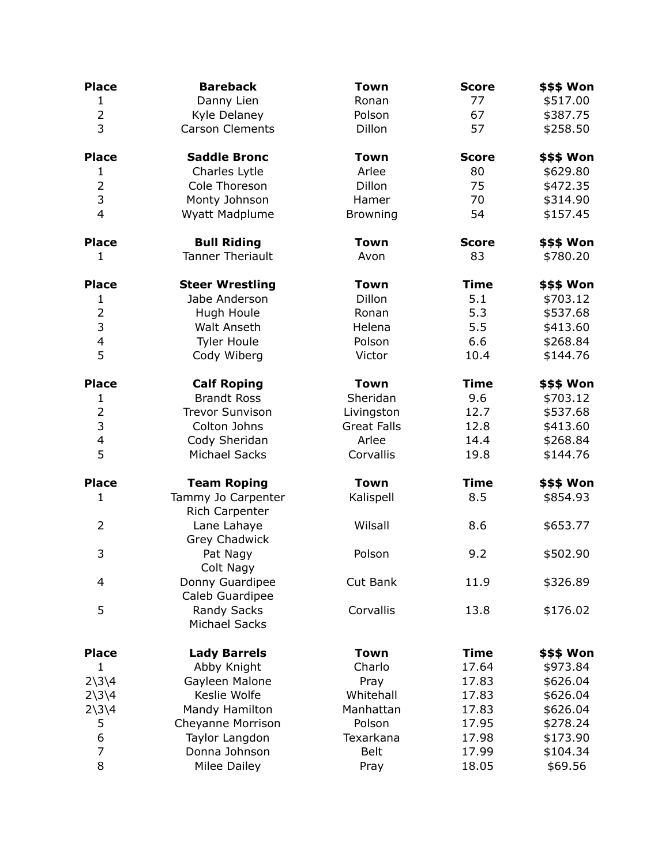| <b>Place</b>             | <b>Bareback</b>                      | <b>Town</b>        | <b>Score</b> | \$\$\$ Won |
|--------------------------|--------------------------------------|--------------------|--------------|------------|
| $\mathbf{1}$             | Danny Lien                           | Ronan              | 77           | \$517.00   |
| $\overline{2}$           | Kyle Delaney                         | Polson             | 67           | \$387.75   |
| 3                        | <b>Carson Clements</b>               | Dillon             | 57           | \$258.50   |
| <b>Place</b>             | <b>Saddle Bronc</b>                  | <b>Town</b>        | <b>Score</b> | \$\$\$ Won |
| 1                        | Charles Lytle                        | Arlee              | 80           | \$629.80   |
| $\overline{2}$           | Cole Thoreson                        | Dillon             | 75           | \$472.35   |
| 3                        | Monty Johnson                        | Hamer              | 70           | \$314.90   |
| $\overline{4}$           | Wyatt Madplume                       | <b>Browning</b>    | 54           | \$157.45   |
| <b>Place</b>             | <b>Bull Riding</b>                   | <b>Town</b>        | <b>Score</b> | \$\$\$ Won |
| 1                        | <b>Tanner Theriault</b>              | Avon               | 83           | \$780.20   |
| <b>Place</b>             | <b>Steer Wrestling</b>               | <b>Town</b>        | <b>Time</b>  | \$\$\$ Won |
| $\mathbf{1}$             | Jabe Anderson                        | Dillon             | 5.1          | \$703.12   |
| $\overline{c}$           | Hugh Houle                           | Ronan              | 5.3          | \$537.68   |
| 3                        | Walt Anseth                          | Helena             | 5.5          | \$413.60   |
| $\overline{\mathcal{L}}$ | <b>Tyler Houle</b>                   | Polson             | 6.6          | \$268.84   |
| 5                        | Cody Wiberg                          | Victor             | 10.4         | \$144.76   |
| <b>Place</b>             | <b>Calf Roping</b>                   | <b>Town</b>        | <b>Time</b>  | \$\$\$ Won |
| $\mathbf{1}$             | <b>Brandt Ross</b>                   | Sheridan           | 9.6          | \$703.12   |
| $\overline{c}$           | <b>Trevor Sunvison</b>               | Livingston         | 12.7         | \$537.68   |
| 3                        | Colton Johns                         | <b>Great Falls</b> | 12.8         | \$413.60   |
| $\overline{\mathbf{4}}$  | Cody Sheridan                        | Arlee              | 14.4         | \$268.84   |
| 5                        | <b>Michael Sacks</b>                 | Corvallis          | 19.8         | \$144.76   |
| <b>Place</b>             | <b>Team Roping</b>                   | <b>Town</b>        | <b>Time</b>  | \$\$\$ Won |
| $\mathbf{1}$             | Tammy Jo Carpenter<br>Rich Carpenter | Kalispell          | 8.5          | \$854.93   |
| $\overline{2}$           | Lane Lahaye<br>Grey Chadwick         | Wilsall            | 8.6          | \$653.77   |
| 3                        | Pat Nagy<br>Colt Nagy                | Polson             | 9.2          | \$502.90   |
| 4                        | Donny Guardipee<br>Caleb Guardipee   | Cut Bank           | 11.9         | \$326.89   |
| 5                        | Randy Sacks<br><b>Michael Sacks</b>  | Corvallis          | 13.8         | \$176.02   |
| <b>Place</b>             | <b>Lady Barrels</b>                  | <b>Town</b>        | <b>Time</b>  | \$\$\$ Won |
| $\mathbf{1}$             | Abby Knight                          | Charlo             | 17.64        | \$973.84   |
| $2\frac{3}{4}$           | Gayleen Malone                       | Pray               | 17.83        | \$626.04   |
| $2\frac{3}{4}$           | Keslie Wolfe                         | Whitehall          | 17.83        | \$626.04   |
| $2\frac{3}{4}$           | Mandy Hamilton                       | Manhattan          | 17.83        | \$626.04   |
| 5                        | Cheyanne Morrison                    | Polson             | 17.95        | \$278.24   |
| 6                        | Taylor Langdon                       | Texarkana          | 17.98        | \$173.90   |
| 7                        | Donna Johnson                        | <b>Belt</b>        | 17.99        | \$104.34   |
| 8                        | <b>Milee Dailey</b>                  | Pray               | 18.05        | \$69.56    |